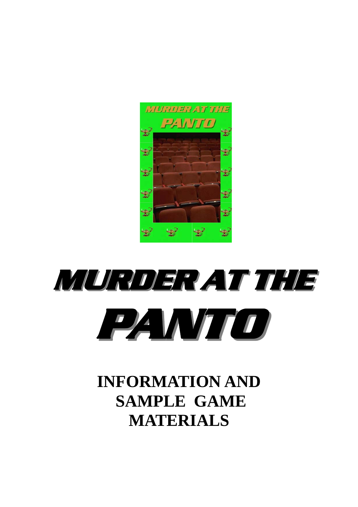

# **MURDER AT THE MURDER AT THE PANTO**

## **INFORMATION AND SAMPLE GAME MATERIALS**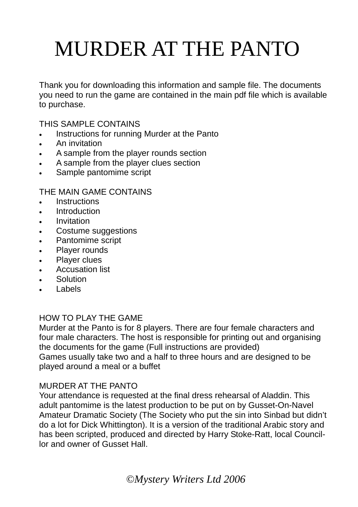## MURDER AT THE PANTO

Thank you for downloading this information and sample file. The documents you need to run the game are contained in the main pdf file which is available to purchase.

THIS SAMPLE CONTAINS

- Instructions for running Murder at the Panto
- An invitation
- A sample from the player rounds section
- A sample from the player clues section
- Sample pantomime script

THE MAIN GAME CONTAINS

- Instructions
- Introduction
- **Invitation**
- Costume suggestions
- Pantomime script
- Player rounds
- Player clues
- **Accusation list**
- **Solution**
- **Labels**

### HOW TO PLAY THE GAME

Murder at the Panto is for 8 players. There are four female characters and four male characters. The host is responsible for printing out and organising the documents for the game (Full instructions are provided) Games usually take two and a half to three hours and are designed to be played around a meal or a buffet

### MURDER AT THE PANTO

Your attendance is requested at the final dress rehearsal of Aladdin. This adult pantomime is the latest production to be put on by Gusset-On-Navel Amateur Dramatic Society (The Society who put the sin into Sinbad but didn't do a lot for Dick Whittington). It is a version of the traditional Arabic story and has been scripted, produced and directed by Harry Stoke-Ratt, local Councillor and owner of Gusset Hall.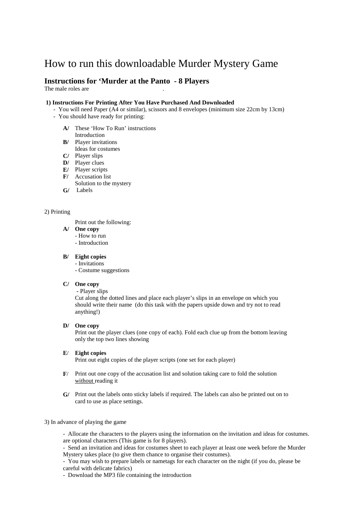## How to run this downloadable Murder Mystery Game

#### **Instructions for 'Murder at the Panto - 8 Players**

The male roles are

#### **1) Instructions For Printing After You Have Purchased And Downloaded**

- You will need Paper (A4 or similar), scissors and 8 envelopes (minimum size 22cm by 13cm)
- You should have ready for printing:
	- These 'How To Run' instructions **A/**  Introduction
	- Player invitations **B/**
	- Ideas for costumes
	- Player slips **C/**
	- Player clues **D/**
	- Player scripts Accusation list **F/ E/**
	- Solution to the mystery
	- Labels **G/**

#### 2) Printing

Print out the following:

- **A/ One copy**
	- How to run
	- Introduction

#### **B/ Eight copies**

- Invitations
- Costume suggestions

#### **C/ One copy**

 **-** Player slips

Cut along the dotted lines and place each player's slips in an envelope on which you should write their name (do this task with the papers upside down and try not to read anything!)

#### **D/ One copy**

Print out the player clues (one copy of each). Fold each clue up from the bottom leaving only the top two lines showing

#### **E**/ **Eight copies**

Print out eight copies of the player scripts (one set for each player)

- **F**/ Print out one copy of the accusation list and solution taking care to fold the solution without reading it
- **G/**  Print out the labels onto sticky labels if required. The labels can also be printed out on to card to use as place settings.

#### 3) In advance of playing the game

- Allocate the characters to the players using the information on the invitation and ideas for costumes. are optional characters (This game is for 8 players).

- Send an invitation and ideas for costumes sheet to each player at least one week before the Murder Mystery takes place (to give them chance to organise their costumes).

- You may wish to prepare labels or nametags for each character on the night (if you do, please be careful with delicate fabrics)
- Download the MP3 file containing the introduction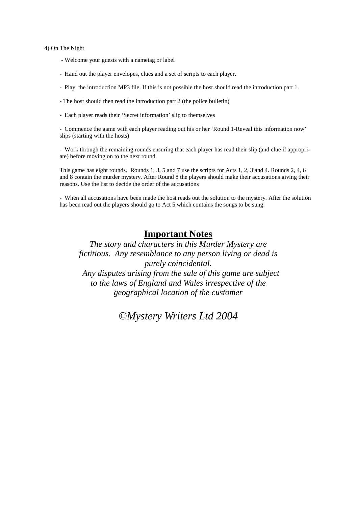#### 4) On The Night

- Welcome your guests with a nametag or label
- Hand out the player envelopes, clues and a set of scripts to each player.
- Play the introduction MP3 file. If this is not possible the host should read the introduction part 1.
- The host should then read the introduction part 2 (the police bulletin)
- Each player reads their 'Secret information' slip to themselves

- Commence the game with each player reading out his or her 'Round 1-Reveal this information now' slips (starting with the hosts)

- Work through the remaining rounds ensuring that each player has read their slip (and clue if appropriate) before moving on to the next round

This game has eight rounds. Rounds 1, 3, 5 and 7 use the scripts for Acts 1, 2, 3 and 4. Rounds 2, 4, 6 and 8 contain the murder mystery. After Round 8 the players should make their accusations giving their reasons. Use the list to decide the order of the accusations

- When all accusations have been made the host reads out the solution to the mystery. After the solution has been read out the players should go to Act 5 which contains the songs to be sung.

### **Important Notes**

*The story and characters in this Murder Mystery are fictitious. Any resemblance to any person living or dead is purely coincidental. Any disputes arising from the sale of this game are subject to the laws of England and Wales irrespective of the geographical location of the customer* 

*©Mystery Writers Ltd 2004*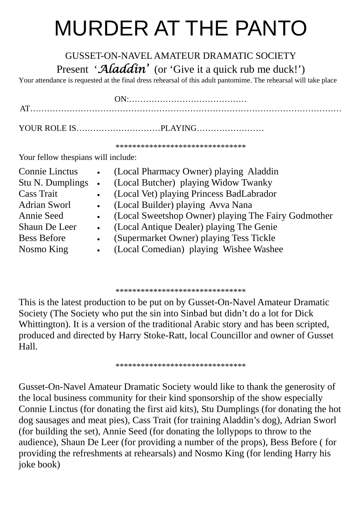## MURDER AT THE PANTO

## GUSSET-ON-NAVEL AMATEUR DRAMATIC SOCIETY Present '*Aladdin'* (or 'Give it a quick rub me duck!')

Your attendance is requested at the final dress rehearsal of this adult pantomime. The rehearsal will take place

\*\*\*\*\*\*\*\*\*\*\*\*\*\*\*\*\*\*\*\*\*\*\*\*\*\*\*\*\*\*\*

Your fellow thespians will include:

| <b>Connie Linctus</b> | $\bullet$ | (Local Pharmacy Owner) playing Aladdin              |
|-----------------------|-----------|-----------------------------------------------------|
| Stu N. Dumplings      | $\bullet$ | (Local Butcher) playing Widow Twanky                |
| <b>Cass Trait</b>     | $\bullet$ | (Local Vet) playing Princess BadLabrador            |
| <b>Adrian Sworl</b>   | $\bullet$ | (Local Builder) playing Avva Nana                   |
| Annie Seed            | $\bullet$ | (Local Sweetshop Owner) playing The Fairy Godmother |
| Shaun De Leer         | $\bullet$ | (Local Antique Dealer) playing The Genie            |
| <b>Bess Before</b>    | $\bullet$ | (Supermarket Owner) playing Tess Tickle             |
| Nosmo King            |           | (Local Comedian) playing Wishee Washee              |
|                       |           |                                                     |

\*\*\*\*\*\*\*\*\*\*\*\*\*\*\*\*\*\*\*\*\*\*\*\*\*\*\*\*\*\*\*

This is the latest production to be put on by Gusset-On-Navel Amateur Dramatic Society (The Society who put the sin into Sinbad but didn't do a lot for Dick Whittington). It is a version of the traditional Arabic story and has been scripted, produced and directed by Harry Stoke-Ratt, local Councillor and owner of Gusset Hall.

\*\*\*\*\*\*\*\*\*\*\*\*\*\*\*\*\*\*\*\*\*\*\*\*\*\*\*\*\*\*\*

Gusset-On-Navel Amateur Dramatic Society would like to thank the generosity of the local business community for their kind sponsorship of the show especially Connie Linctus (for donating the first aid kits), Stu Dumplings (for donating the hot dog sausages and meat pies), Cass Trait (for training Aladdin's dog), Adrian Sworl (for building the set), Annie Seed (for donating the lollypops to throw to the audience), Shaun De Leer (for providing a number of the props), Bess Before ( for providing the refreshments at rehearsals) and Nosmo King (for lending Harry his joke book)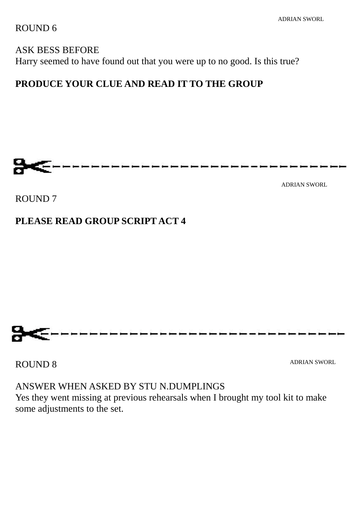ROUND 6

## ASK BESS BEFORE Harry seemed to have found out that you were up to no good. Is this true?

## **PRODUCE YOUR CLUE AND READ IT TO THE GROUP**



ADRIAN SWORL

ROUND 7

### **PLEASE READ GROUP SCRIPT ACT 4**



ROUND 8

ADRIAN SWORL

ANSWER WHEN ASKED BY STU N.DUMPLINGS

Yes they went missing at previous rehearsals when I brought my tool kit to make some adjustments to the set.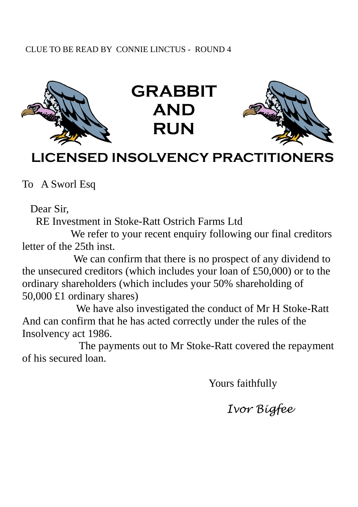### CLUE TO BE READ BY CONNIE LINCTUS - ROUND 4







## **LICENSED INSOLVENCY PRACTITIONERS**

To A Sworl Esq

Dear Sir,

RE Investment in Stoke-Ratt Ostrich Farms Ltd

We refer to your recent enquiry following our final creditors letter of the 25th inst.

 We can confirm that there is no prospect of any dividend to the unsecured creditors (which includes your loan of £50,000) or to the ordinary shareholders (which includes your 50% shareholding of 50,000 £1 ordinary shares)

 We have also investigated the conduct of Mr H Stoke-Ratt And can confirm that he has acted correctly under the rules of the Insolvency act 1986.

 The payments out to Mr Stoke-Ratt covered the repayment of his secured loan.

Yours faithfully

 *Ivor Bigfee*